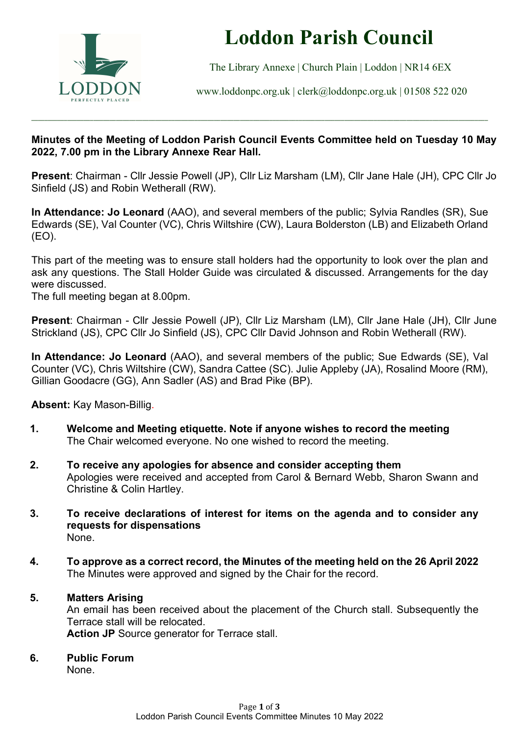

# Loddon Parish Council

The Library Annexe | Church Plain | Loddon | NR14 6EX

www.loddonpc.org.uk | clerk@loddonpc.org.uk | 01508 522 020

#### Minutes of the Meeting of Loddon Parish Council Events Committee held on Tuesday 10 May 2022, 7.00 pm in the Library Annexe Rear Hall.

\_\_\_\_\_\_\_\_\_\_\_\_\_\_\_\_\_\_\_\_\_\_\_\_\_\_\_\_\_\_\_\_\_\_\_\_\_\_\_\_\_\_\_\_\_\_\_\_\_\_\_\_\_\_\_\_\_\_\_\_\_\_\_\_\_\_\_\_\_\_\_\_\_\_\_\_\_\_\_\_\_\_\_\_\_\_\_\_\_\_\_\_\_\_\_\_\_\_\_\_\_\_\_\_\_\_\_\_\_\_\_\_\_\_\_\_\_\_\_\_\_\_\_\_\_\_\_\_\_\_\_\_\_\_\_\_\_\_\_\_

Present: Chairman - Cllr Jessie Powell (JP), Cllr Liz Marsham (LM), Cllr Jane Hale (JH), CPC Cllr Jo Sinfield (JS) and Robin Wetherall (RW).

In Attendance: Jo Leonard (AAO), and several members of the public; Sylvia Randles (SR), Sue Edwards (SE), Val Counter (VC), Chris Wiltshire (CW), Laura Bolderston (LB) and Elizabeth Orland (EO).

This part of the meeting was to ensure stall holders had the opportunity to look over the plan and ask any questions. The Stall Holder Guide was circulated & discussed. Arrangements for the day were discussed.

The full meeting began at 8.00pm.

Present: Chairman - Cllr Jessie Powell (JP), Cllr Liz Marsham (LM), Cllr Jane Hale (JH), Cllr June Strickland (JS), CPC Cllr Jo Sinfield (JS), CPC Cllr David Johnson and Robin Wetherall (RW).

In Attendance: Jo Leonard (AAO), and several members of the public; Sue Edwards (SE), Val Counter (VC), Chris Wiltshire (CW), Sandra Cattee (SC). Julie Appleby (JA), Rosalind Moore (RM), Gillian Goodacre (GG), Ann Sadler (AS) and Brad Pike (BP).

Absent: Kay Mason-Billig.

- 1. Welcome and Meeting etiquette. Note if anyone wishes to record the meeting The Chair welcomed everyone. No one wished to record the meeting.
- 2. To receive any apologies for absence and consider accepting them Apologies were received and accepted from Carol & Bernard Webb, Sharon Swann and Christine & Colin Hartley.
- 3. To receive declarations of interest for items on the agenda and to consider any requests for dispensations None.
- 4. To approve as a correct record, the Minutes of the meeting held on the 26 April 2022 The Minutes were approved and signed by the Chair for the record.

#### 5. Matters Arising

An email has been received about the placement of the Church stall. Subsequently the Terrace stall will be relocated. Action JP Source generator for Terrace stall.

#### 6. Public Forum

None.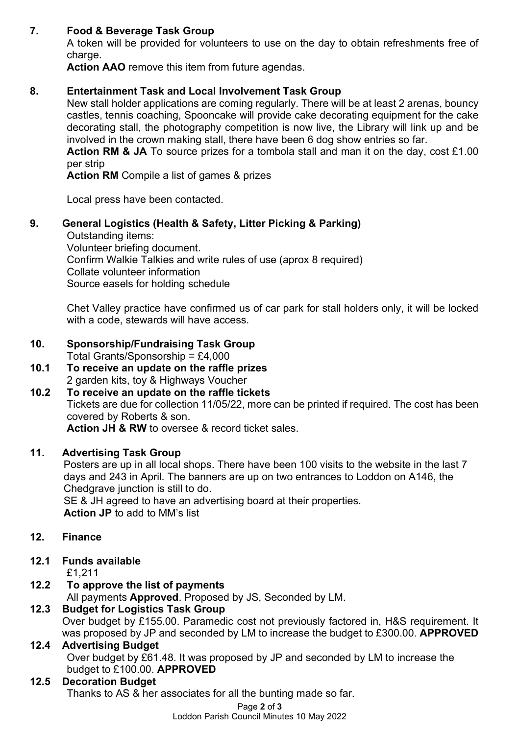#### 7. Food & Beverage Task Group

A token will be provided for volunteers to use on the day to obtain refreshments free of charge.

Action AAO remove this item from future agendas.

#### 8. Entertainment Task and Local Involvement Task Group

New stall holder applications are coming regularly. There will be at least 2 arenas, bouncy castles, tennis coaching, Spooncake will provide cake decorating equipment for the cake decorating stall, the photography competition is now live, the Library will link up and be involved in the crown making stall, there have been 6 dog show entries so far.

Action RM & JA To source prizes for a tombola stall and man it on the day, cost £1.00 per strip

Action RM Compile a list of games & prizes

Local press have been contacted.

#### 9. General Logistics (Health & Safety, Litter Picking & Parking)

Outstanding items: Volunteer briefing document. Confirm Walkie Talkies and write rules of use (aprox 8 required) Collate volunteer information Source easels for holding schedule

Chet Valley practice have confirmed us of car park for stall holders only, it will be locked with a code, stewards will have access.

#### 10. Sponsorship/Fundraising Task Group

Total Grants/Sponsorship = £4,000

10.1 To receive an update on the raffle prizes 2 garden kits, toy & Highways Voucher

#### 10.2 To receive an update on the raffle tickets Tickets are due for collection 11/05/22, more can be printed if required. The cost has been covered by Roberts & son. Action JH & RW to oversee & record ticket sales.

#### 11. Advertising Task Group

Posters are up in all local shops. There have been 100 visits to the website in the last 7 days and 243 in April. The banners are up on two entrances to Loddon on A146, the Chedgrave junction is still to do.

SE & JH agreed to have an advertising board at their properties. Action JP to add to MM's list

#### 12. Finance

#### 12.1 Funds available

£1,211

## 12.2 To approve the list of payments

All payments Approved. Proposed by JS, Seconded by LM.

#### 12.3 Budget for Logistics Task Group

Over budget by £155.00. Paramedic cost not previously factored in, H&S requirement. It was proposed by JP and seconded by LM to increase the budget to £300.00. APPROVED

### 12.4 Advertising Budget

Over budget by £61.48. It was proposed by JP and seconded by LM to increase the budget to £100.00. APPROVED

#### 12.5 Decoration Budget

Thanks to AS & her associates for all the bunting made so far.

Loddon Parish Council Minutes 10 May 2022